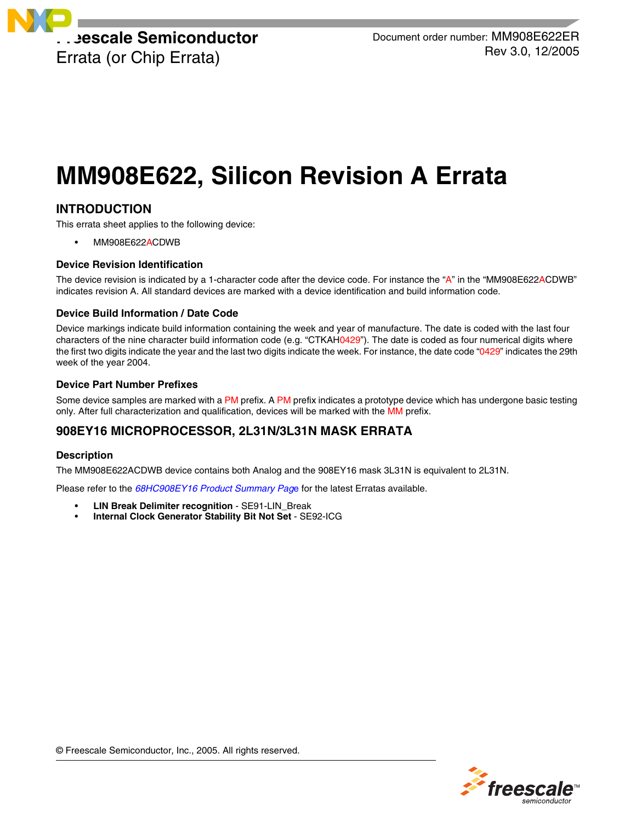

# **MM908E622, Silicon Revision A Errata**

# **INTRODUCTION**

This errata sheet applies to the following device:

• MM908E622ACDWB

# **Device Revision Identification**

The device revision is indicated by a 1-character code after the device code. For instance the "A" in the "MM908E622ACDWB" indicates revision A. All standard devices are marked with a device identification and build information code.

### **Device Build Information / Date Code**

Device markings indicate build information containing the week and year of manufacture. The date is coded with the last four characters of the nine character build information code (e.g. "CTKAH0429"). The date is coded as four numerical digits where the first two digits indicate the year and the last two digits indicate the week. For instance, the date code "0429" indicates the 29th week of the year 2004.

### **Device Part Number Prefixes**

Some device samples are marked with a PM prefix. A PM prefix indicates a prototype device which has undergone basic testing only. After full characterization and qualification, devices will be marked with the MM prefix.

# **908EY16 MICROPROCESSOR, 2L31N/3L31N MASK ERRATA**

# **Description**

The MM908E622ACDWB device contains both Analog and the 908EY16 mask 3L31N is equivalent to 2L31N.

Please refer to the *[68HC908EY16 Product Summary Pag](http://www.freescale.com/webapp/sps/site/prod_summary.jsp?code=68HC908EY16&nodeId=01624684492994#Errata)*e for the latest Erratas available.

- **LIN Break Delimiter recognition** SE91-LIN\_Break
- **Internal Clock Generator Stability Bit Not Set** SE92-ICG

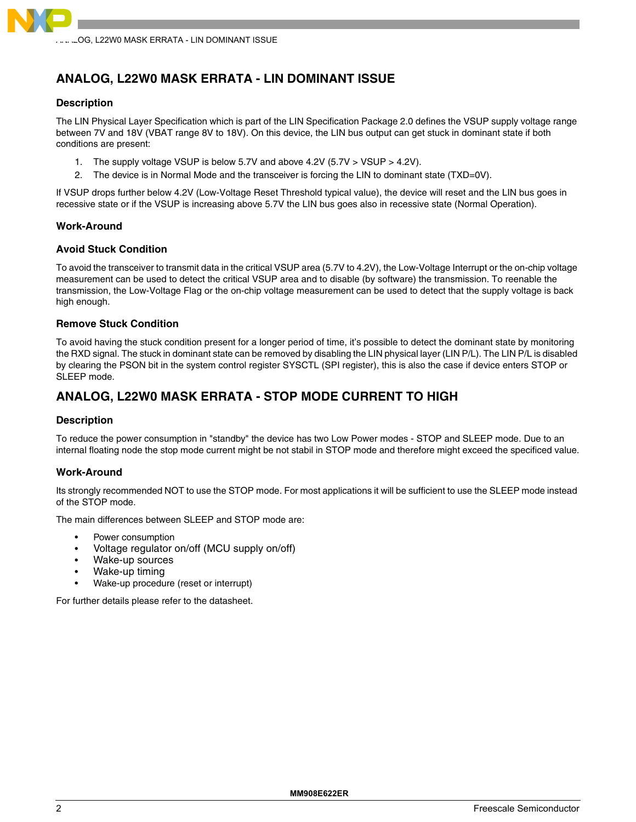

# **ANALOG, L22W0 MASK ERRATA - LIN DOMINANT ISSUE**

### **Description**

The LIN Physical Layer Specification which is part of the LIN Specification Package 2.0 defines the VSUP supply voltage range between 7V and 18V (VBAT range 8V to 18V). On this device, the LIN bus output can get stuck in dominant state if both conditions are present:

- 1. The supply voltage VSUP is below 5.7V and above 4.2V (5.7V > VSUP > 4.2V).
- 2. The device is in Normal Mode and the transceiver is forcing the LIN to dominant state (TXD=0V).

If VSUP drops further below 4.2V (Low-Voltage Reset Threshold typical value), the device will reset and the LIN bus goes in recessive state or if the VSUP is increasing above 5.7V the LIN bus goes also in recessive state (Normal Operation).

### **Work-Around**

### **Avoid Stuck Condition**

To avoid the transceiver to transmit data in the critical VSUP area (5.7V to 4.2V), the Low-Voltage Interrupt or the on-chip voltage measurement can be used to detect the critical VSUP area and to disable (by software) the transmission. To reenable the transmission, the Low-Voltage Flag or the on-chip voltage measurement can be used to detect that the supply voltage is back high enough.

### **Remove Stuck Condition**

To avoid having the stuck condition present for a longer period of time, it's possible to detect the dominant state by monitoring the RXD signal. The stuck in dominant state can be removed by disabling the LIN physical layer (LIN P/L). The LIN P/L is disabled by clearing the PSON bit in the system control register SYSCTL (SPI register), this is also the case if device enters STOP or SLEEP mode.

# **ANALOG, L22W0 MASK ERRATA - STOP MODE CURRENT TO HIGH**

### **Description**

To reduce the power consumption in "standby" the device has two Low Power modes - STOP and SLEEP mode. Due to an internal floating node the stop mode current might be not stabil in STOP mode and therefore might exceed the specificed value.

### **Work-Around**

Its strongly recommended NOT to use the STOP mode. For most applications it will be sufficient to use the SLEEP mode instead of the STOP mode.

The main differences between SLEEP and STOP mode are:

- Power consumption
- Voltage regulator on/off (MCU supply on/off)
- Wake-up sources
- Wake-up timing
- Wake-up procedure (reset or interrupt)

For further details please refer to the datasheet.